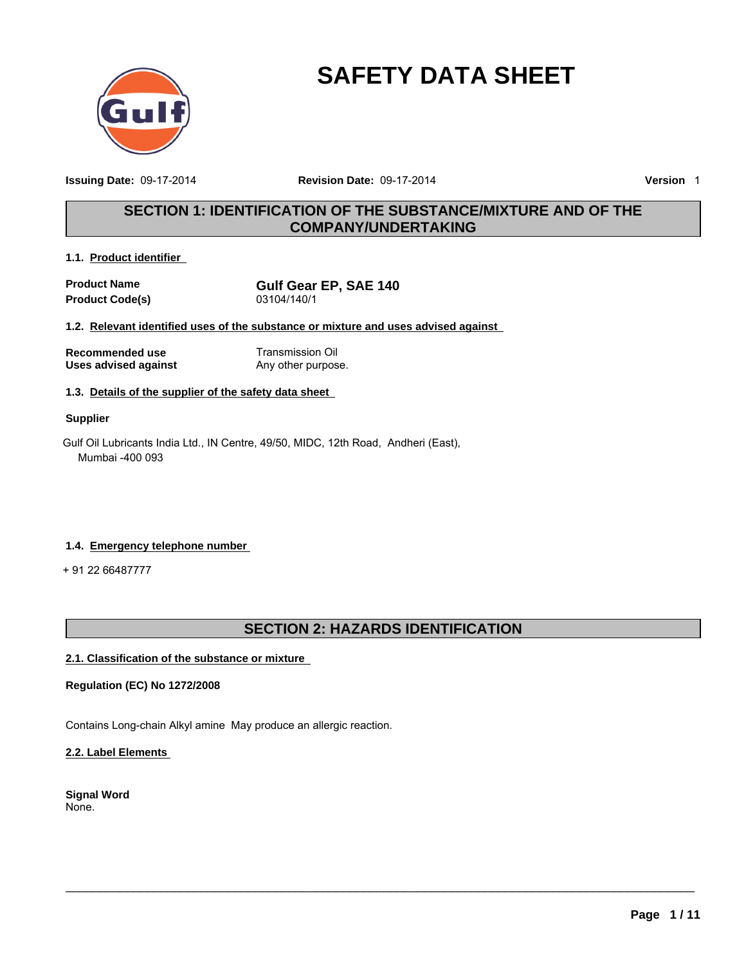

# **SAFETY DATA SHEET**

**Issuing Date:** 09-17-2014

**Revision Date:** 09-17-2014 **Version** 1

### **SECTION 1: IDENTIFICATION OF THE SUBSTANCE/MIXTURE AND OF THE COMPANY/UNDERTAKING**

### **1.1. Product identifier**

**Product Name**<br> **Product Code(s)**<br> **Product Code(s)**<br> **Gulf Gear EP, SAE 140 Product Code(s)** 

**1.2. Relevant identified uses of the substance or mixture and uses advised against** 

**Recommended use** Transmission Oil **Uses advised against** Any other purpose.

### **1.3. Details of the supplier of the safety data sheet**

### **Supplier**

Gulf Oil Lubricants India Ltd., IN Centre, 49/50, MIDC, 12th Road, Andheri (East), Mumbai -400 093

### **1.4. Emergency telephone number**

+ 91 22 66487777

### **SECTION 2: HAZARDS IDENTIFICATION**

 $\_$  ,  $\_$  ,  $\_$  ,  $\_$  ,  $\_$  ,  $\_$  ,  $\_$  ,  $\_$  ,  $\_$  ,  $\_$  ,  $\_$  ,  $\_$  ,  $\_$  ,  $\_$  ,  $\_$  ,  $\_$  ,  $\_$  ,  $\_$  ,  $\_$  ,  $\_$  ,  $\_$  ,  $\_$  ,  $\_$  ,  $\_$  ,  $\_$  ,  $\_$  ,  $\_$  ,  $\_$  ,  $\_$  ,  $\_$  ,  $\_$  ,  $\_$  ,  $\_$  ,  $\_$  ,  $\_$  ,  $\_$  ,  $\_$  ,

### **2.1. Classification of the substance or mixture**

### **Regulation (EC) No 1272/2008**

Contains Long-chain Alkyl amine May produce an allergic reaction.

### **2.2. Label Elements**

**Signal Word** None.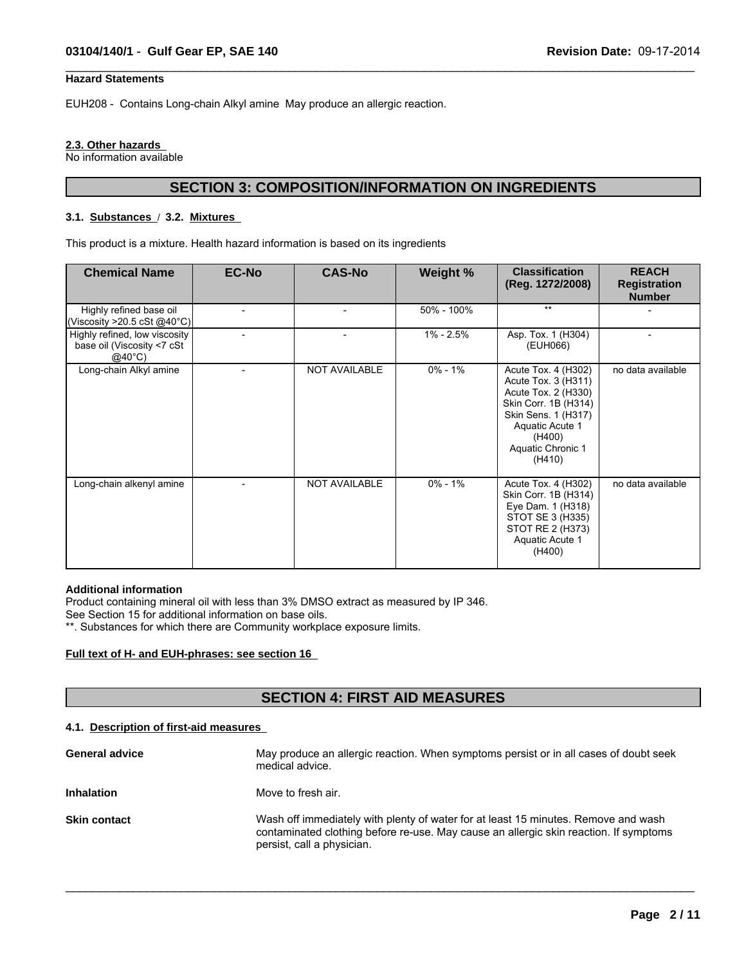### **Hazard Statements**

EUH208 - Contains Long-chain Alkyl amine May produce an allergic reaction.

#### **2.3. Other hazards**

No information available

### **SECTION 3: COMPOSITION/INFORMATION ON INGREDIENTS**

 $\_$  ,  $\_$  ,  $\_$  ,  $\_$  ,  $\_$  ,  $\_$  ,  $\_$  ,  $\_$  ,  $\_$  ,  $\_$  ,  $\_$  ,  $\_$  ,  $\_$  ,  $\_$  ,  $\_$  ,  $\_$  ,  $\_$  ,  $\_$  ,  $\_$  ,  $\_$  ,  $\_$  ,  $\_$  ,  $\_$  ,  $\_$  ,  $\_$  ,  $\_$  ,  $\_$  ,  $\_$  ,  $\_$  ,  $\_$  ,  $\_$  ,  $\_$  ,  $\_$  ,  $\_$  ,  $\_$  ,  $\_$  ,  $\_$  ,

### **3.1. Substances** / **3.2. Mixtures**

This product is a mixture. Health hazard information is based on its ingredients

| <b>Chemical Name</b>                                                            | <b>EC-No</b> | <b>CAS-No</b>        | Weight %    | <b>Classification</b><br>(Reg. 1272/2008)                                                                                                                                    | <b>REACH</b><br><b>Registration</b><br><b>Number</b> |
|---------------------------------------------------------------------------------|--------------|----------------------|-------------|------------------------------------------------------------------------------------------------------------------------------------------------------------------------------|------------------------------------------------------|
| Highly refined base oil<br>(Viscosity >20.5 cSt @40°C)                          |              |                      | 50% - 100%  | $***$                                                                                                                                                                        |                                                      |
| Highly refined, low viscosity<br>base oil (Viscosity <7 cSt<br>$@40^{\circ}$ C) |              |                      | 1% - 2.5%   | Asp. Tox. 1 (H304)<br>(EUH066)                                                                                                                                               |                                                      |
| Long-chain Alkyl amine                                                          |              | <b>NOT AVAILABLE</b> | $0\% - 1\%$ | Acute Tox. 4 (H302)<br>Acute Tox. 3 (H311)<br>Acute Tox. 2 (H330)<br>Skin Corr. 1B (H314)<br>Skin Sens. 1 (H317)<br>Aquatic Acute 1<br>(H400)<br>Aquatic Chronic 1<br>(H410) | no data available                                    |
| Long-chain alkenyl amine                                                        |              | NOT AVAILABLE        | $0\% - 1\%$ | Acute Tox. 4 (H302)<br>Skin Corr. 1B (H314)<br>Eye Dam. 1 (H318)<br>STOT SE 3 (H335)<br>STOT RE 2 (H373)<br>Aquatic Acute 1<br>(H400)                                        | no data available                                    |

### **Additional information**

Product containing mineral oil with less than 3% DMSO extract as measured by IP 346.

See Section 15 for additional information on base oils.

\*\*. Substances for which there are Community workplace exposure limits.

#### **Full text of H- and EUH-phrases: see section 16**

### **SECTION 4: FIRST AID MEASURES**

### **4.1. Description of first-aid measures**

| <b>General advice</b> | May produce an allergic reaction. When symptoms persist or in all cases of doubt seek<br>medical advice.                                                                                                  |
|-----------------------|-----------------------------------------------------------------------------------------------------------------------------------------------------------------------------------------------------------|
| <b>Inhalation</b>     | Move to fresh air.                                                                                                                                                                                        |
| <b>Skin contact</b>   | Wash off immediately with plenty of water for at least 15 minutes. Remove and wash<br>contaminated clothing before re-use. May cause an allergic skin reaction. If symptoms<br>persist, call a physician. |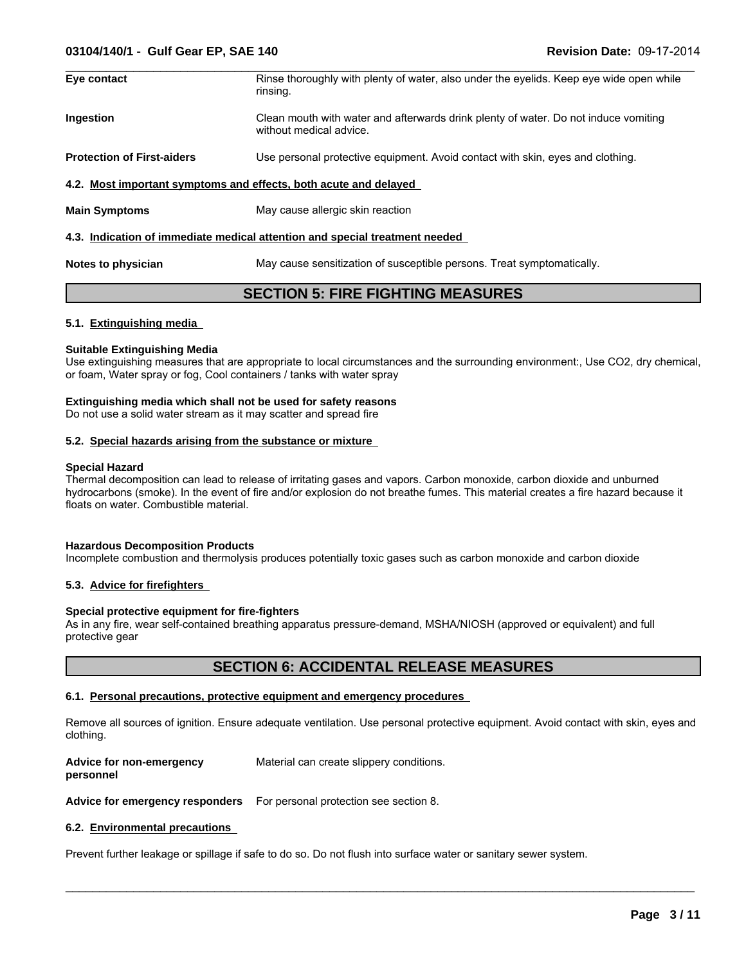### **03104/140/1** - **Gulf Gear EP, SAE 140 Revision Date:** 09-17-2014

| Eye contact                                                      | Rinse thoroughly with plenty of water, also under the eyelids. Keep eye wide open while<br>rinsing.            |
|------------------------------------------------------------------|----------------------------------------------------------------------------------------------------------------|
| Ingestion                                                        | Clean mouth with water and afterwards drink plenty of water. Do not induce vomiting<br>without medical advice. |
| <b>Protection of First-aiders</b>                                | Use personal protective equipment. Avoid contact with skin, eyes and clothing.                                 |
| 4.2. Most important symptoms and effects, both acute and delayed |                                                                                                                |
| <b>Main Symptoms</b>                                             | May cause allergic skin reaction                                                                               |
|                                                                  | 4.3. Indication of immediate medical attention and special treatment needed                                    |
| Notes to physician                                               | May cause sensitization of susceptible persons. Treat symptomatically.                                         |

### **SECTION 5: FIRE FIGHTING MEASURES**

### **5.1. Extinguishing media**

#### **Suitable Extinguishing Media**

Use extinguishing measures that are appropriate to local circumstances and the surrounding environment:, Use CO2, dry chemical, or foam, Water spray or fog, Cool containers / tanks with water spray

### **Extinguishing media which shall not be used for safety reasons**

Do not use a solid water stream as it may scatter and spread fire

### **5.2. Special hazards arising from the substance or mixture**

#### **Special Hazard**

Thermal decomposition can lead to release of irritating gases and vapors. Carbon monoxide, carbon dioxide and unburned hydrocarbons (smoke). In the event of fire and/or explosion do not breathe fumes. This material creates a fire hazard because it floats on water. Combustible material.

#### **Hazardous Decomposition Products**

Incomplete combustion and thermolysis produces potentially toxic gases such as carbon monoxide and carbon dioxide

### **5.3. Advice for firefighters**

### **Special protective equipment for fire-fighters**

As in any fire, wear self-contained breathing apparatus pressure-demand, MSHA/NIOSH (approved or equivalent) and full protective gear

### **SECTION 6: ACCIDENTAL RELEASE MEASURES**

#### **6.1. Personal precautions, protective equipment and emergency procedures**

Remove all sources of ignition. Ensure adequate ventilation. Use personal protective equipment. Avoid contact with skin, eyes and clothing.

 $\_$  ,  $\_$  ,  $\_$  ,  $\_$  ,  $\_$  ,  $\_$  ,  $\_$  ,  $\_$  ,  $\_$  ,  $\_$  ,  $\_$  ,  $\_$  ,  $\_$  ,  $\_$  ,  $\_$  ,  $\_$  ,  $\_$  ,  $\_$  ,  $\_$  ,  $\_$  ,  $\_$  ,  $\_$  ,  $\_$  ,  $\_$  ,  $\_$  ,  $\_$  ,  $\_$  ,  $\_$  ,  $\_$  ,  $\_$  ,  $\_$  ,  $\_$  ,  $\_$  ,  $\_$  ,  $\_$  ,  $\_$  ,  $\_$  ,

**Advice for non-emergency personnel** Material can create slippery conditions.

**Advice for emergency responders** For personal protection see section 8.

### **6.2. Environmental precautions**

Prevent further leakage or spillage if safe to do so. Do not flush into surface water or sanitary sewer system.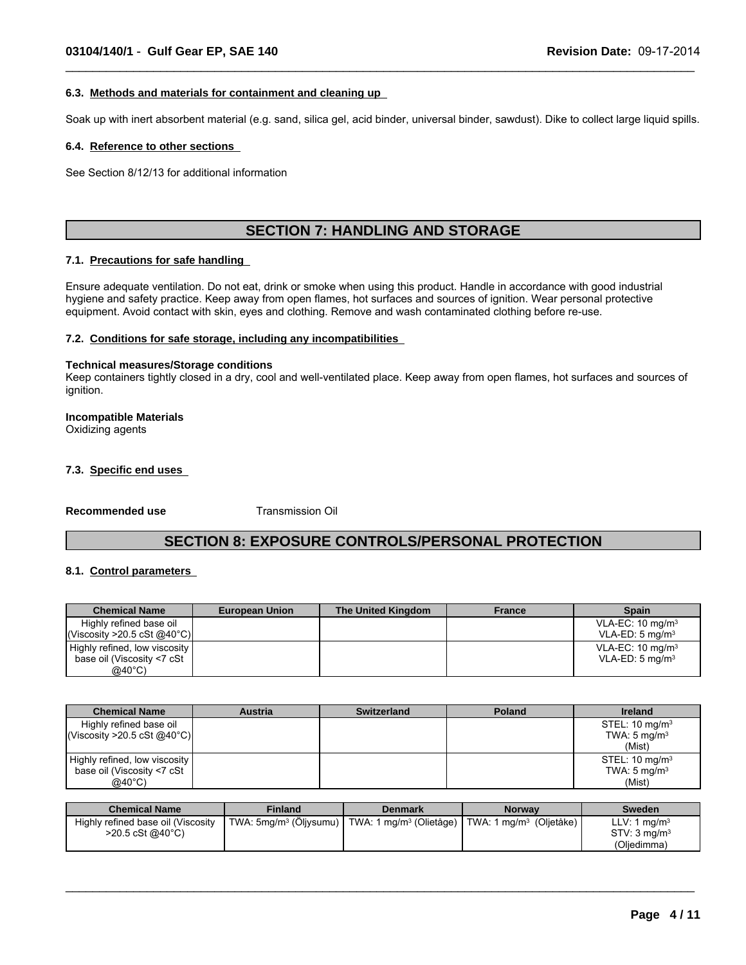#### **6.3. Methods and materials for containment and cleaning up**

Soak up with inert absorbent material (e.g. sand, silica gel, acid binder, universal binder, sawdust). Dike to collect large liquid spills.

 $\_$  ,  $\_$  ,  $\_$  ,  $\_$  ,  $\_$  ,  $\_$  ,  $\_$  ,  $\_$  ,  $\_$  ,  $\_$  ,  $\_$  ,  $\_$  ,  $\_$  ,  $\_$  ,  $\_$  ,  $\_$  ,  $\_$  ,  $\_$  ,  $\_$  ,  $\_$  ,  $\_$  ,  $\_$  ,  $\_$  ,  $\_$  ,  $\_$  ,  $\_$  ,  $\_$  ,  $\_$  ,  $\_$  ,  $\_$  ,  $\_$  ,  $\_$  ,  $\_$  ,  $\_$  ,  $\_$  ,  $\_$  ,  $\_$  ,

#### **6.4. Reference to other sections**

See Section 8/12/13 for additional information

### **SECTION 7: HANDLING AND STORAGE**

### **7.1. Precautions for safe handling**

Ensure adequate ventilation. Do not eat, drink or smoke when using this product. Handle in accordance with good industrial hygiene and safety practice. Keep away from open flames, hot surfaces and sources of ignition. Wear personal protective equipment. Avoid contact with skin, eyes and clothing. Remove and wash contaminated clothing before re-use.

#### **7.2. Conditions for safe storage, including any incompatibilities**

#### **Technical measures/Storage conditions**

Keep containers tightly closed in a dry, cool and well-ventilated place. Keep away from open flames, hot surfaces and sources of ignition.

### **Incompatible Materials**

Oxidizing agents

### **7.3. Specific end uses**

**Recommended use** Transmission Oil

### **SECTION 8: EXPOSURE CONTROLS/PERSONAL PROTECTION**

### **8.1. Control parameters**

| <b>Chemical Name</b>          | <b>European Union</b> | The United Kingdom | <b>France</b> | <b>Spain</b>                |
|-------------------------------|-----------------------|--------------------|---------------|-----------------------------|
| Highly refined base oil       |                       |                    |               | VLA-EC: $10 \text{ mg/m}^3$ |
| Viscosity > 20.5 cSt @40°C    |                       |                    |               | VLA-ED: $5 \text{ mg/m}^3$  |
| Highly refined, low viscosity |                       |                    |               | VLA-EC: $10 \text{ mg/m}^3$ |
| base oil (Viscosity <7 cSt    |                       |                    |               | $VLA-ED: 5 mg/m3$           |
| @40°C)                        |                       |                    |               |                             |

| <b>Chemical Name</b>            | <b>Austria</b> | <b>Switzerland</b> | <b>Poland</b> | <b>Ireland</b>            |
|---------------------------------|----------------|--------------------|---------------|---------------------------|
| Highly refined base oil         |                |                    |               | STEL: $10 \text{ mg/m}^3$ |
| $ Viscosity > 20.5 \cSt @40°C $ |                |                    |               | TWA: $5 \text{ mg/m}^3$   |
|                                 |                |                    |               | (Mist)                    |
| Highly refined, low viscosity   |                |                    |               | STEL: $10 \text{ mg/m}^3$ |
| base oil (Viscosity <7 cSt      |                |                    |               | TWA: $5 \text{ mg/m}^3$   |
| $@40^{\circ}$ C)                |                |                    |               | (Mist)                    |

| <b>Chemical Name</b>               | Finland                            | Denmark                                                        | <b>Norway</b> | <b>Sweden</b>            |
|------------------------------------|------------------------------------|----------------------------------------------------------------|---------------|--------------------------|
| Highly refined base oil (Viscosity | TWA: 5mg/m <sup>3</sup> (Oljysumu) | TWA: 1 mg/m <sup>3</sup> (Olietåge)   TWA: 1 mg/m <sup>3</sup> | (Oljetåke)    | LLV: 1 $mq/m3$           |
| >20.5 cSt @40°C)                   |                                    |                                                                |               | STV: 3 mg/m <sup>3</sup> |
|                                    |                                    |                                                                |               | (Oljedimma)              |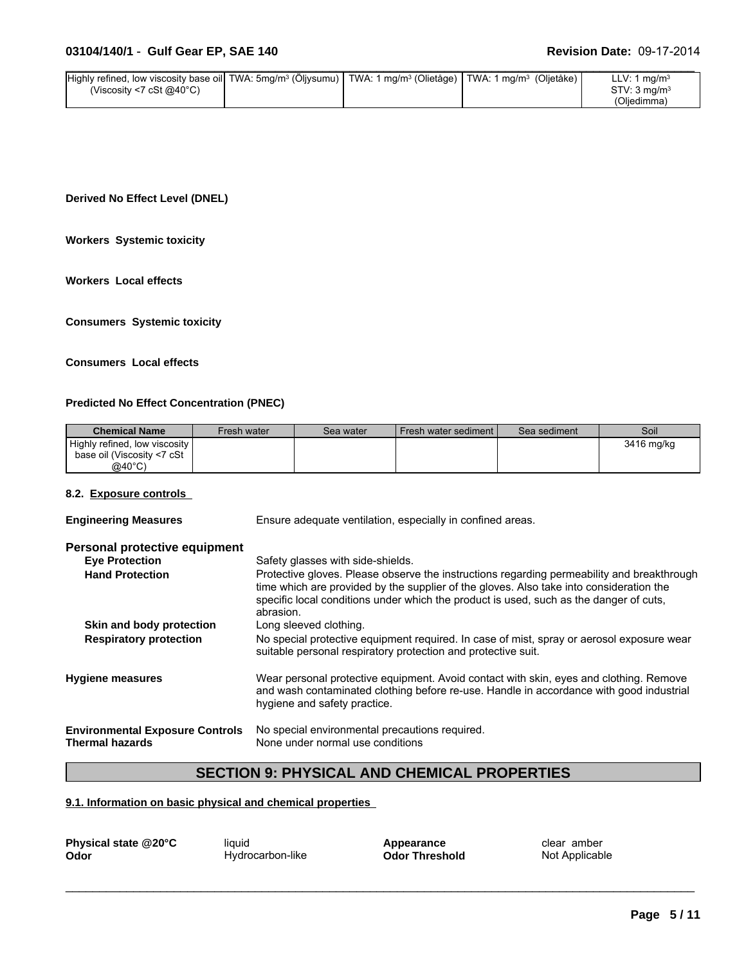| Highly refined, low viscosity base oil TWA: 5mg/m <sup>3</sup> (Oljysumu) | TWA: 1 mg/m <sup>3</sup> (Olietåge) | $\vert$ TWA: 1 mg/m <sup>3</sup> (Oljetåke) | LLV: 1 $mq/m3$             |
|---------------------------------------------------------------------------|-------------------------------------|---------------------------------------------|----------------------------|
| (Viscosity <7 cSt @40 $^{\circ}$ C)                                       |                                     |                                             | $STV: 3$ ma/m <sup>3</sup> |
|                                                                           |                                     |                                             | (Oljedimma)                |

**Derived No Effect Level (DNEL)**

**Workers Systemic toxicity**

**Workers Local effects**

**Consumers Systemic toxicity**

### **Consumers Local effects**

### **Predicted No Effect Concentration (PNEC)**

| <b>Chemical Name</b>          | Fresh water | Sea water | Fresh water sediment I | Sea sediment | Soil       |
|-------------------------------|-------------|-----------|------------------------|--------------|------------|
| Highly refined, low viscosity |             |           |                        |              | 3416 mg/kg |
| base oil (Viscosity <7 cSt    |             |           |                        |              |            |
| $@40^{\circ}$ C)              |             |           |                        |              |            |

### **8.2. Exposure controls**

| <b>Engineering Measures</b>                                      | Ensure adequate ventilation, especially in confined areas.                                                                                                                                                                                                                                   |
|------------------------------------------------------------------|----------------------------------------------------------------------------------------------------------------------------------------------------------------------------------------------------------------------------------------------------------------------------------------------|
| Personal protective equipment                                    |                                                                                                                                                                                                                                                                                              |
| <b>Eve Protection</b>                                            | Safety glasses with side-shields.                                                                                                                                                                                                                                                            |
| <b>Hand Protection</b>                                           | Protective gloves. Please observe the instructions regarding permeability and breakthrough<br>time which are provided by the supplier of the gloves. Also take into consideration the<br>specific local conditions under which the product is used, such as the danger of cuts,<br>abrasion. |
| Skin and body protection                                         | Long sleeved clothing.                                                                                                                                                                                                                                                                       |
| <b>Respiratory protection</b>                                    | No special protective equipment required. In case of mist, spray or aerosol exposure wear<br>suitable personal respiratory protection and protective suit.                                                                                                                                   |
| <b>Hygiene measures</b>                                          | Wear personal protective equipment. Avoid contact with skin, eyes and clothing. Remove<br>and wash contaminated clothing before re-use. Handle in accordance with good industrial<br>hygiene and safety practice.                                                                            |
| <b>Environmental Exposure Controls</b><br><b>Thermal hazards</b> | No special environmental precautions required.<br>None under normal use conditions                                                                                                                                                                                                           |

### **SECTION 9: PHYSICAL AND CHEMICAL PROPERTIES**

### **9.1. Information on basic physical and chemical properties**

| Physical state @20°C | liquid           | Appearance            | clear amber    |
|----------------------|------------------|-----------------------|----------------|
| Odor                 | Hydrocarbon-like | <b>Odor Threshold</b> | Not Applicable |
|                      |                  |                       |                |
|                      |                  |                       |                |
|                      |                  |                       |                |

**Odor** Hydrocarbon-like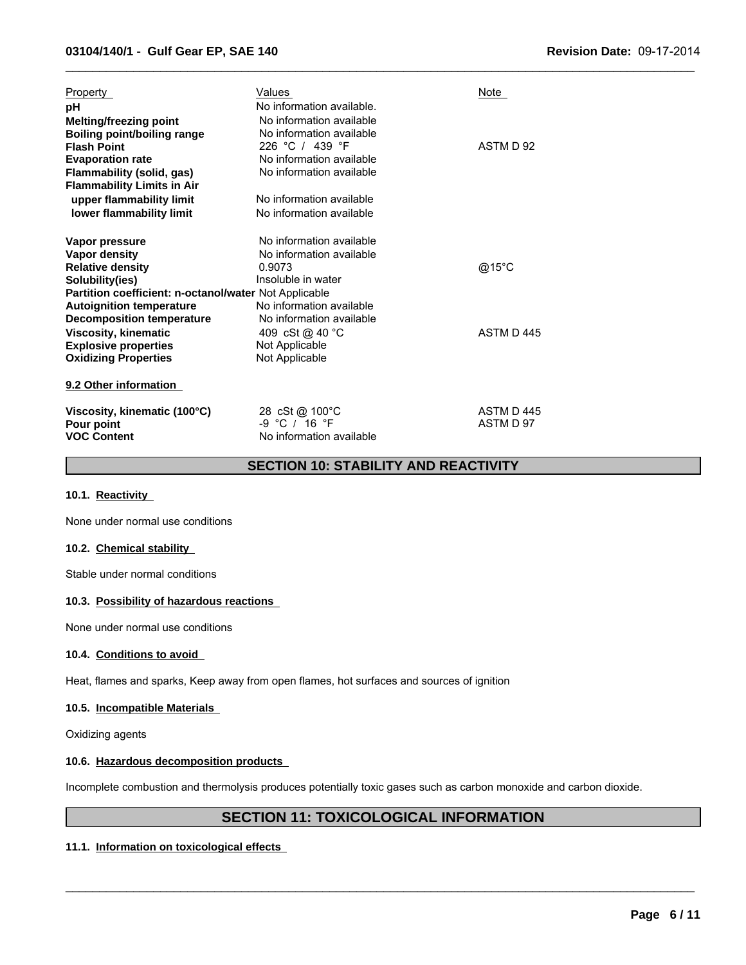| Property<br>рH<br>Melting/freezing point<br><b>Boiling point/boiling range</b>                                                                                   | Values<br>No information available.<br>No information available<br>No information available                 | Note                   |
|------------------------------------------------------------------------------------------------------------------------------------------------------------------|-------------------------------------------------------------------------------------------------------------|------------------------|
| <b>Flash Point</b><br><b>Evaporation rate</b><br><b>Flammability (solid, gas)</b><br><b>Flammability Limits in Air</b>                                           | 226 °C / 439 °F<br>No information available<br>No information available                                     | ASTM D 92              |
| upper flammability limit<br>lower flammability limit                                                                                                             | No information available<br>No information available                                                        |                        |
| Vapor pressure<br>Vapor density<br><b>Relative density</b><br>Solubility(ies)<br>Partition coefficient: n-octanol/water Not Applicable                           | No information available<br>No information available<br>0.9073<br>Insoluble in water                        | @15°C                  |
| <b>Autoignition temperature</b><br><b>Decomposition temperature</b><br><b>Viscosity, kinematic</b><br><b>Explosive properties</b><br><b>Oxidizing Properties</b> | No information available<br>No information available<br>409 cSt @ 40 °C<br>Not Applicable<br>Not Applicable | ASTM D 445             |
| 9.2 Other information                                                                                                                                            |                                                                                                             |                        |
| Viscosity, kinematic (100°C)<br>Pour point<br><b>VOC Content</b>                                                                                                 | 28 cSt @ 100°C<br>-9 °C / 16 °F<br>No information available                                                 | ASTM D445<br>ASTM D 97 |

### **SECTION 10: STABILITY AND REACTIVITY**

 $\_$  ,  $\_$  ,  $\_$  ,  $\_$  ,  $\_$  ,  $\_$  ,  $\_$  ,  $\_$  ,  $\_$  ,  $\_$  ,  $\_$  ,  $\_$  ,  $\_$  ,  $\_$  ,  $\_$  ,  $\_$  ,  $\_$  ,  $\_$  ,  $\_$  ,  $\_$  ,  $\_$  ,  $\_$  ,  $\_$  ,  $\_$  ,  $\_$  ,  $\_$  ,  $\_$  ,  $\_$  ,  $\_$  ,  $\_$  ,  $\_$  ,  $\_$  ,  $\_$  ,  $\_$  ,  $\_$  ,  $\_$  ,  $\_$  ,

### **10.1. Reactivity**

None under normal use conditions

### **10.2. Chemical stability**

Stable under normal conditions

### **10.3. Possibility of hazardous reactions**

None under normal use conditions

### **10.4. Conditions to avoid**

Heat, flames and sparks, Keep away from open flames, hot surfaces and sources of ignition

#### **10.5. Incompatible Materials**

Oxidizing agents

### **10.6. Hazardous decomposition products**

Incomplete combustion and thermolysis produces potentially toxic gases such as carbon monoxide and carbon dioxide.

### **SECTION 11: TOXICOLOGICAL INFORMATION**

 $\_$  ,  $\_$  ,  $\_$  ,  $\_$  ,  $\_$  ,  $\_$  ,  $\_$  ,  $\_$  ,  $\_$  ,  $\_$  ,  $\_$  ,  $\_$  ,  $\_$  ,  $\_$  ,  $\_$  ,  $\_$  ,  $\_$  ,  $\_$  ,  $\_$  ,  $\_$  ,  $\_$  ,  $\_$  ,  $\_$  ,  $\_$  ,  $\_$  ,  $\_$  ,  $\_$  ,  $\_$  ,  $\_$  ,  $\_$  ,  $\_$  ,  $\_$  ,  $\_$  ,  $\_$  ,  $\_$  ,  $\_$  ,  $\_$  ,

### **11.1. Information on toxicological effects**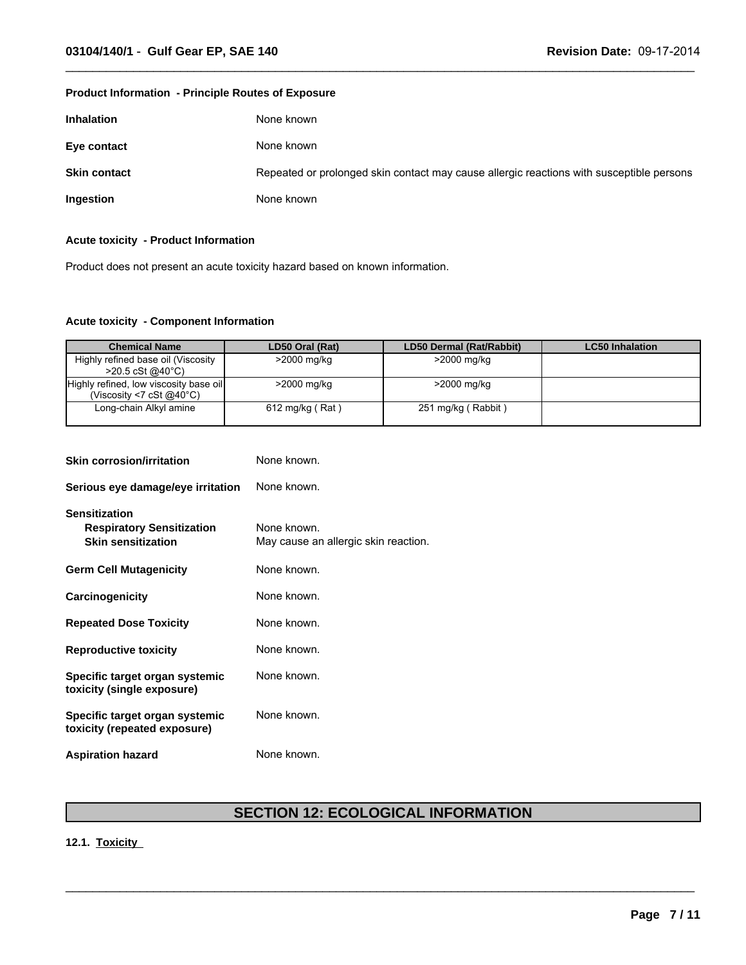### **Product Information - Principle Routes of Exposure**

| <b>Inhalation</b>   | None known                                                                               |
|---------------------|------------------------------------------------------------------------------------------|
| Eye contact         | None known                                                                               |
| <b>Skin contact</b> | Repeated or prolonged skin contact may cause allergic reactions with susceptible persons |
| Ingestion           | None known                                                                               |

 $\_$  ,  $\_$  ,  $\_$  ,  $\_$  ,  $\_$  ,  $\_$  ,  $\_$  ,  $\_$  ,  $\_$  ,  $\_$  ,  $\_$  ,  $\_$  ,  $\_$  ,  $\_$  ,  $\_$  ,  $\_$  ,  $\_$  ,  $\_$  ,  $\_$  ,  $\_$  ,  $\_$  ,  $\_$  ,  $\_$  ,  $\_$  ,  $\_$  ,  $\_$  ,  $\_$  ,  $\_$  ,  $\_$  ,  $\_$  ,  $\_$  ,  $\_$  ,  $\_$  ,  $\_$  ,  $\_$  ,  $\_$  ,  $\_$  ,

### **Acute toxicity - Product Information**

Product does not present an acute toxicity hazard based on known information.

### **Acute toxicity - Component Information**

| <b>Chemical Name</b>                                                         | LD50 Oral (Rat) | LD50 Dermal (Rat/Rabbit) | <b>LC50 Inhalation</b> |
|------------------------------------------------------------------------------|-----------------|--------------------------|------------------------|
| Highly refined base oil (Viscosity<br>$>$ 20.5 cSt @40°C)                    | >2000 mg/kg     | >2000 mg/kg              |                        |
| Highly refined, low viscosity base oil<br>(Viscosity <7 cSt $@40^{\circ}$ C) | >2000 mg/kg     | >2000 mg/kg              |                        |
| Long-chain Alkyl amine                                                       | 612 mg/kg (Rat) | 251 mg/kg (Rabbit)       |                        |

| <b>Skin corrosion/irritation</b>                                                      | None known.                                         |
|---------------------------------------------------------------------------------------|-----------------------------------------------------|
| Serious eye damage/eye irritation                                                     | None known.                                         |
| <b>Sensitization</b><br><b>Respiratory Sensitization</b><br><b>Skin sensitization</b> | None known.<br>May cause an allergic skin reaction. |
| <b>Germ Cell Mutagenicity</b>                                                         | None known.                                         |
| Carcinogenicity                                                                       | None known.                                         |
| <b>Repeated Dose Toxicity</b>                                                         | None known.                                         |
| <b>Reproductive toxicity</b>                                                          | None known.                                         |
| Specific target organ systemic<br>toxicity (single exposure)                          | None known.                                         |
| Specific target organ systemic<br>toxicity (repeated exposure)                        | None known.                                         |
| <b>Aspiration hazard</b>                                                              | None known.                                         |

## **SECTION 12: ECOLOGICAL INFORMATION**

 $\_$  ,  $\_$  ,  $\_$  ,  $\_$  ,  $\_$  ,  $\_$  ,  $\_$  ,  $\_$  ,  $\_$  ,  $\_$  ,  $\_$  ,  $\_$  ,  $\_$  ,  $\_$  ,  $\_$  ,  $\_$  ,  $\_$  ,  $\_$  ,  $\_$  ,  $\_$  ,  $\_$  ,  $\_$  ,  $\_$  ,  $\_$  ,  $\_$  ,  $\_$  ,  $\_$  ,  $\_$  ,  $\_$  ,  $\_$  ,  $\_$  ,  $\_$  ,  $\_$  ,  $\_$  ,  $\_$  ,  $\_$  ,  $\_$  ,

### **12.1. Toxicity**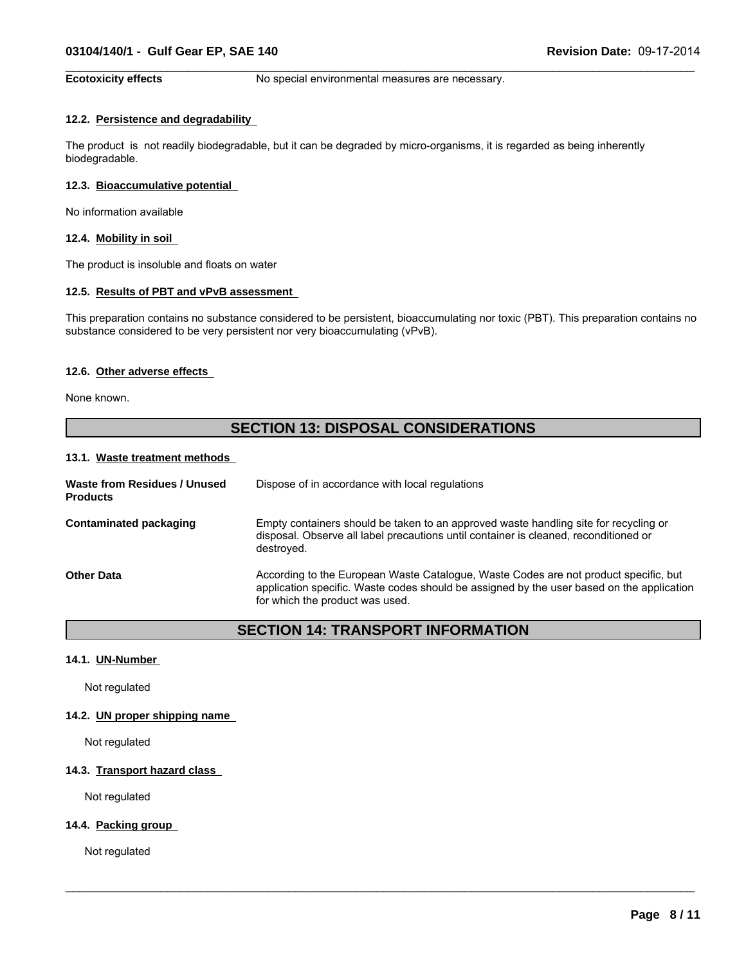**Ecotoxicity effects** No special environmental measures are necessary.

 $\_$  ,  $\_$  ,  $\_$  ,  $\_$  ,  $\_$  ,  $\_$  ,  $\_$  ,  $\_$  ,  $\_$  ,  $\_$  ,  $\_$  ,  $\_$  ,  $\_$  ,  $\_$  ,  $\_$  ,  $\_$  ,  $\_$  ,  $\_$  ,  $\_$  ,  $\_$  ,  $\_$  ,  $\_$  ,  $\_$  ,  $\_$  ,  $\_$  ,  $\_$  ,  $\_$  ,  $\_$  ,  $\_$  ,  $\_$  ,  $\_$  ,  $\_$  ,  $\_$  ,  $\_$  ,  $\_$  ,  $\_$  ,  $\_$  ,

### **12.2. Persistence and degradability**

The product is not readily biodegradable, but it can be degraded by micro-organisms, it is regarded as being inherently biodegradable.

#### **12.3. Bioaccumulative potential**

No information available

### **12.4. Mobility in soil**

The product is insoluble and floats on water

#### **12.5. Results of PBT and vPvB assessment**

This preparation contains no substance considered to be persistent, bioaccumulating nor toxic (PBT). This preparation contains no substance considered to be very persistent nor very bioaccumulating (vPvB).

### **12.6. Other adverse effects**

None known.

### **SECTION 13: DISPOSAL CONSIDERATIONS**

#### **13.1. Waste treatment methods**

| Waste from Residues / Unused<br><b>Products</b> | Dispose of in accordance with local regulations                                                                                                                                                                      |
|-------------------------------------------------|----------------------------------------------------------------------------------------------------------------------------------------------------------------------------------------------------------------------|
| Contaminated packaging                          | Empty containers should be taken to an approved waste handling site for recycling or<br>disposal. Observe all label precautions until container is cleaned, reconditioned or<br>destroved.                           |
| <b>Other Data</b>                               | According to the European Waste Catalogue, Waste Codes are not product specific, but<br>application specific. Waste codes should be assigned by the user based on the application<br>for which the product was used. |

### **SECTION 14: TRANSPORT INFORMATION**

 $\_$  ,  $\_$  ,  $\_$  ,  $\_$  ,  $\_$  ,  $\_$  ,  $\_$  ,  $\_$  ,  $\_$  ,  $\_$  ,  $\_$  ,  $\_$  ,  $\_$  ,  $\_$  ,  $\_$  ,  $\_$  ,  $\_$  ,  $\_$  ,  $\_$  ,  $\_$  ,  $\_$  ,  $\_$  ,  $\_$  ,  $\_$  ,  $\_$  ,  $\_$  ,  $\_$  ,  $\_$  ,  $\_$  ,  $\_$  ,  $\_$  ,  $\_$  ,  $\_$  ,  $\_$  ,  $\_$  ,  $\_$  ,  $\_$  ,

#### **14.1. UN-Number**

Not regulated

### **14.2. UN proper shipping name**

Not regulated

### **14.3. Transport hazard class**

Not regulated

### **14.4. Packing group**

Not regulated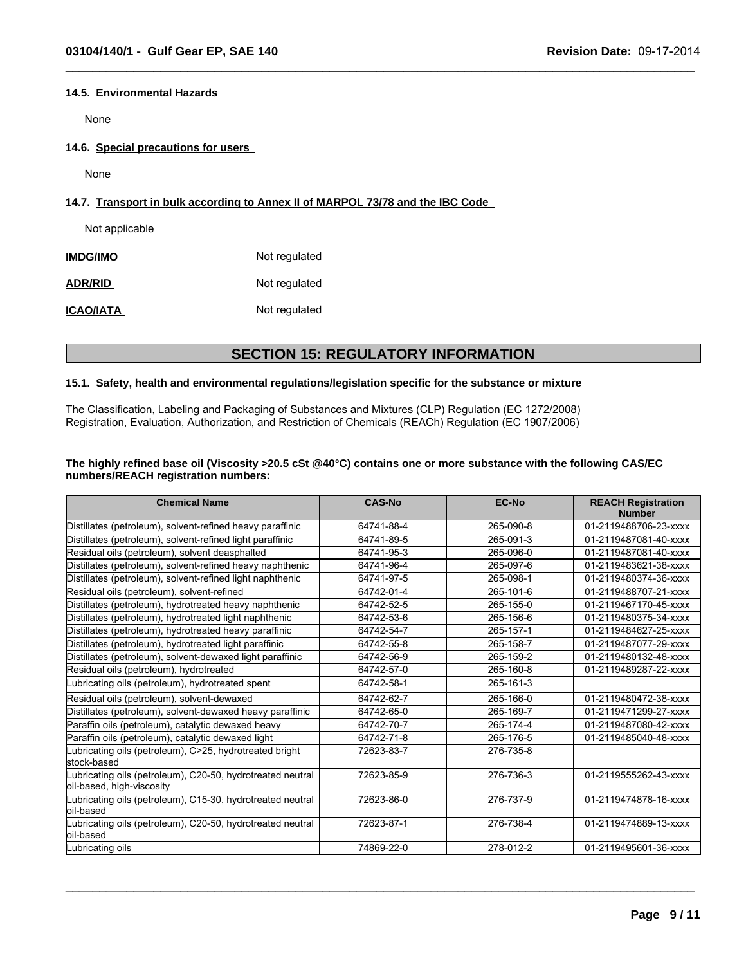### **14.5. Environmental Hazards**

None

**14.6. Special precautions for users** 

None

### **14.7. Transport in bulk according to Annex II of MARPOL 73/78 and the IBC Code**

Not applicable

| <b>IMDG/IMO</b>  | Not regulated |  |
|------------------|---------------|--|
| <b>ADR/RID</b>   | Not regulated |  |
| <b>ICAO/IATA</b> | Not regulated |  |

### **SECTION 15: REGULATORY INFORMATION**

 $\_$  ,  $\_$  ,  $\_$  ,  $\_$  ,  $\_$  ,  $\_$  ,  $\_$  ,  $\_$  ,  $\_$  ,  $\_$  ,  $\_$  ,  $\_$  ,  $\_$  ,  $\_$  ,  $\_$  ,  $\_$  ,  $\_$  ,  $\_$  ,  $\_$  ,  $\_$  ,  $\_$  ,  $\_$  ,  $\_$  ,  $\_$  ,  $\_$  ,  $\_$  ,  $\_$  ,  $\_$  ,  $\_$  ,  $\_$  ,  $\_$  ,  $\_$  ,  $\_$  ,  $\_$  ,  $\_$  ,  $\_$  ,  $\_$  ,

### **15.1. Safety, health and environmental regulations/legislation specific for the substance or mixture**

The Classification, Labeling and Packaging of Substances and Mixtures (CLP) Regulation (EC 1272/2008) Registration, Evaluation, Authorization, and Restriction of Chemicals (REACh) Regulation (EC 1907/2006)

### The highly refined base oil (Viscosity >20.5 cSt @40°C) contains one or more substance with the following CAS/EC **numbers/REACH registration numbers:**

| <b>Chemical Name</b>                                                                    | <b>CAS-No</b> | <b>EC-No</b> | <b>REACH Registration</b><br><b>Number</b> |
|-----------------------------------------------------------------------------------------|---------------|--------------|--------------------------------------------|
| Distillates (petroleum), solvent-refined heavy paraffinic                               | 64741-88-4    | 265-090-8    | 01-2119488706-23-xxxx                      |
| Distillates (petroleum), solvent-refined light paraffinic                               | 64741-89-5    | 265-091-3    | 01-2119487081-40-xxxx                      |
| Residual oils (petroleum), solvent deasphalted                                          | 64741-95-3    | 265-096-0    | 01-2119487081-40-xxxx                      |
| Distillates (petroleum), solvent-refined heavy naphthenic                               | 64741-96-4    | 265-097-6    | 01-2119483621-38-xxxx                      |
| Distillates (petroleum), solvent-refined light naphthenic                               | 64741-97-5    | 265-098-1    | 01-2119480374-36-xxxx                      |
| Residual oils (petroleum), solvent-refined                                              | 64742-01-4    | 265-101-6    | 01-2119488707-21-xxxx                      |
| Distillates (petroleum), hydrotreated heavy naphthenic                                  | 64742-52-5    | 265-155-0    | 01-2119467170-45-xxxx                      |
| Distillates (petroleum), hydrotreated light naphthenic                                  | 64742-53-6    | 265-156-6    | 01-2119480375-34-xxxx                      |
| Distillates (petroleum), hydrotreated heavy paraffinic                                  | 64742-54-7    | 265-157-1    | 01-2119484627-25-xxxx                      |
| Distillates (petroleum), hydrotreated light paraffinic                                  | 64742-55-8    | 265-158-7    | 01-2119487077-29-xxxx                      |
| Distillates (petroleum), solvent-dewaxed light paraffinic                               | 64742-56-9    | 265-159-2    | 01-2119480132-48-xxxx                      |
| Residual oils (petroleum), hydrotreated                                                 | 64742-57-0    | 265-160-8    | 01-2119489287-22-xxxx                      |
| Lubricating oils (petroleum), hydrotreated spent                                        | 64742-58-1    | 265-161-3    |                                            |
| Residual oils (petroleum), solvent-dewaxed                                              | 64742-62-7    | 265-166-0    | 01-2119480472-38-xxxx                      |
| Distillates (petroleum), solvent-dewaxed heavy paraffinic                               | 64742-65-0    | 265-169-7    | 01-2119471299-27-xxxx                      |
| Paraffin oils (petroleum), catalytic dewaxed heavy                                      | 64742-70-7    | 265-174-4    | 01-2119487080-42-xxxx                      |
| Paraffin oils (petroleum), catalytic dewaxed light                                      | 64742-71-8    | 265-176-5    | 01-2119485040-48-xxxx                      |
| ubricating oils (petroleum), C>25, hydrotreated bright<br>lstock-based                  | 72623-83-7    | 276-735-8    |                                            |
| Lubricating oils (petroleum), C20-50, hydrotreated neutral<br>oil-based, high-viscosity | 72623-85-9    | 276-736-3    | 01-2119555262-43-xxxx                      |
| Lubricating oils (petroleum), C15-30, hydrotreated neutral<br>loil-based                | 72623-86-0    | 276-737-9    | 01-2119474878-16-xxxx                      |
| Lubricating oils (petroleum), C20-50, hydrotreated neutral<br>oil-based                 | 72623-87-1    | 276-738-4    | 01-2119474889-13-xxxx                      |
| Lubricating oils                                                                        | 74869-22-0    | 278-012-2    | 01-2119495601-36-xxxx                      |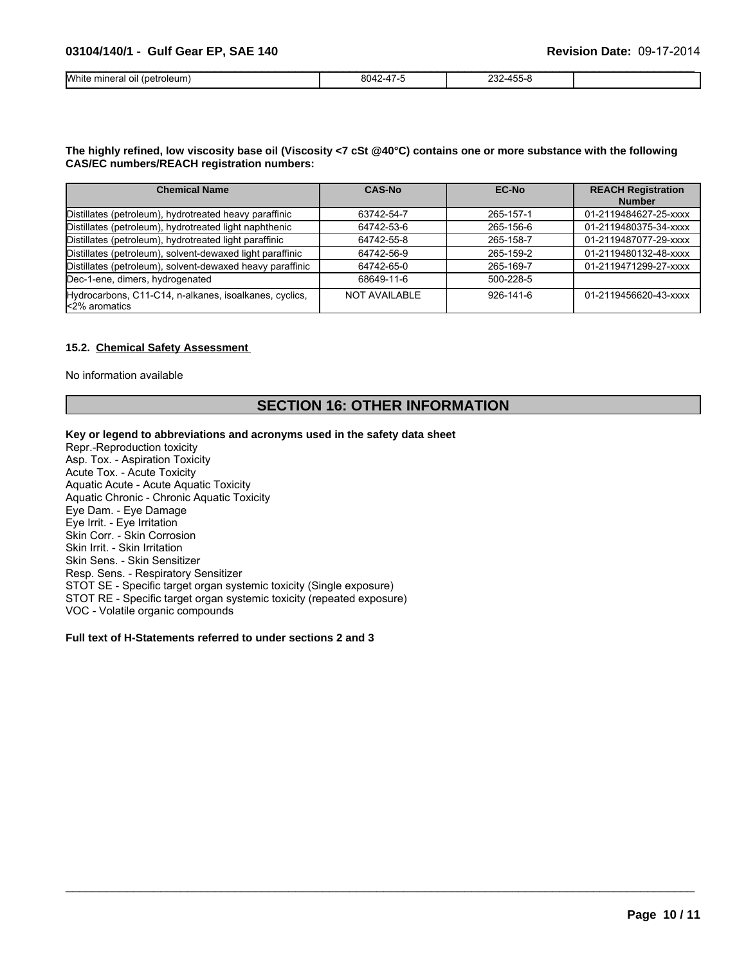| White mineral oil (petroleum) | 8042-4<br>. . | 232-455-8 |  |
|-------------------------------|---------------|-----------|--|

### The highly refined, low viscosity base oil (Viscosity <7 cSt @40°C) contains one or more substance with the following **CAS/EC numbers/REACH registration numbers:**

| <b>Chemical Name</b>                                                    | <b>CAS-No</b>        | <b>EC-No</b>    | <b>REACH Registration</b><br><b>Number</b> |
|-------------------------------------------------------------------------|----------------------|-----------------|--------------------------------------------|
| Distillates (petroleum), hydrotreated heavy paraffinic                  | 63742-54-7           | 265-157-1       | 01-2119484627-25-xxxx                      |
| Distillates (petroleum), hydrotreated light naphthenic                  | 64742-53-6           | 265-156-6       | 01-2119480375-34-xxxx                      |
| Distillates (petroleum), hydrotreated light paraffinic                  | 64742-55-8           | 265-158-7       | 01-2119487077-29-xxxx                      |
| Distillates (petroleum), solvent-dewaxed light paraffinic               | 64742-56-9           | 265-159-2       | 01-2119480132-48-xxxx                      |
| Distillates (petroleum), solvent-dewaxed heavy paraffinic               | 64742-65-0           | 265-169-7       | 01-2119471299-27-xxxx                      |
| Dec-1-ene, dimers, hydrogenated                                         | 68649-11-6           | 500-228-5       |                                            |
| Hydrocarbons, C11-C14, n-alkanes, isoalkanes, cyclics,<br>k2% aromatics | <b>NOT AVAILABLE</b> | $926 - 141 - 6$ | 01-2119456620-43-xxxx                      |

### **15.2. Chemical Safety Assessment**

No information available

### **SECTION 16: OTHER INFORMATION**

 $\_$  ,  $\_$  ,  $\_$  ,  $\_$  ,  $\_$  ,  $\_$  ,  $\_$  ,  $\_$  ,  $\_$  ,  $\_$  ,  $\_$  ,  $\_$  ,  $\_$  ,  $\_$  ,  $\_$  ,  $\_$  ,  $\_$  ,  $\_$  ,  $\_$  ,  $\_$  ,  $\_$  ,  $\_$  ,  $\_$  ,  $\_$  ,  $\_$  ,  $\_$  ,  $\_$  ,  $\_$  ,  $\_$  ,  $\_$  ,  $\_$  ,  $\_$  ,  $\_$  ,  $\_$  ,  $\_$  ,  $\_$  ,  $\_$  ,

### **Key or legend to abbreviations and acronyms used in the safety data sheet**

Repr.-Reproduction toxicity Asp. Tox. - Aspiration Toxicity Acute Tox. - Acute Toxicity Aquatic Acute - Acute Aquatic Toxicity Aquatic Chronic - Chronic Aquatic Toxicity Eye Dam. - Eye Damage Eye Irrit. - Eye Irritation Skin Corr. - Skin Corrosion Skin Irrit. - Skin Irritation Skin Sens. - Skin Sensitizer Resp. Sens. - Respiratory Sensitizer STOT SE - Specific target organ systemic toxicity (Single exposure) STOT RE - Specific target organ systemic toxicity (repeated exposure) VOC - Volatile organic compounds

### **Full text of H-Statements referred to under sections 2 and 3**